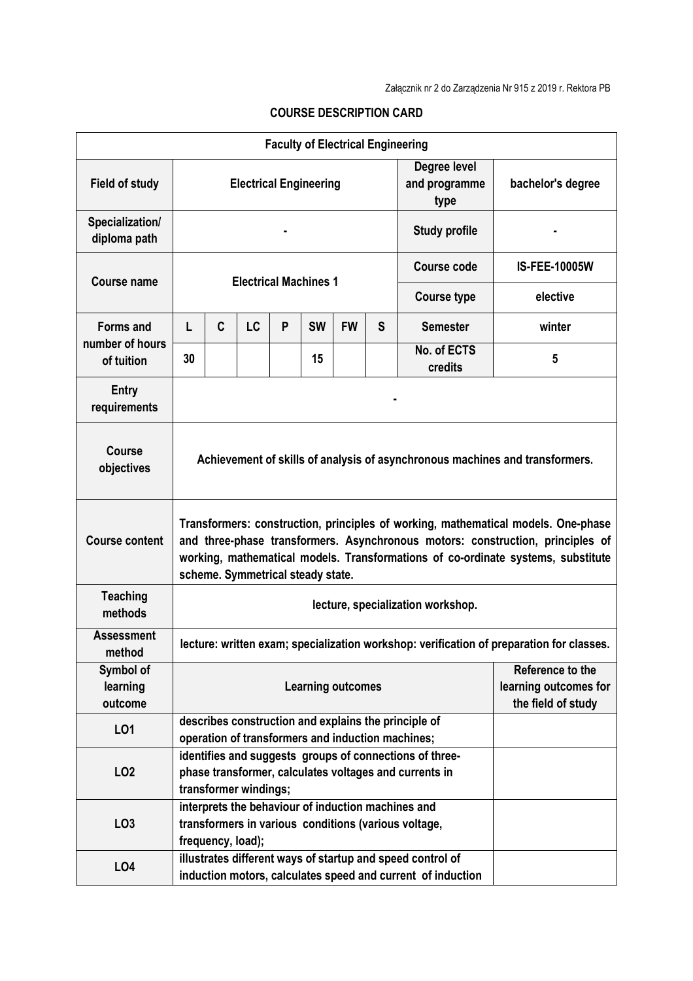|                                     |                                                                                                                                                                                                                                                                                              |   |    |   |           | <b>Faculty of Electrical Engineering</b> |   |                               |                                                                                          |  |  |  |
|-------------------------------------|----------------------------------------------------------------------------------------------------------------------------------------------------------------------------------------------------------------------------------------------------------------------------------------------|---|----|---|-----------|------------------------------------------|---|-------------------------------|------------------------------------------------------------------------------------------|--|--|--|
| <b>Field of study</b>               | <b>Electrical Engineering</b><br>type                                                                                                                                                                                                                                                        |   |    |   |           |                                          |   | Degree level<br>and programme | bachelor's degree                                                                        |  |  |  |
| Specialization/<br>diploma path     |                                                                                                                                                                                                                                                                                              |   |    |   |           |                                          |   | <b>Study profile</b>          |                                                                                          |  |  |  |
| Course name                         | <b>Electrical Machines 1</b>                                                                                                                                                                                                                                                                 |   |    |   |           |                                          |   | <b>Course code</b>            | <b>IS-FEE-10005W</b>                                                                     |  |  |  |
|                                     |                                                                                                                                                                                                                                                                                              |   |    |   |           |                                          |   | <b>Course type</b>            | elective                                                                                 |  |  |  |
| <b>Forms and</b><br>number of hours | L                                                                                                                                                                                                                                                                                            | C | LC | P | <b>SW</b> | <b>FW</b>                                | S | <b>Semester</b>               | winter                                                                                   |  |  |  |
| of tuition                          | 30                                                                                                                                                                                                                                                                                           |   |    |   | 15        |                                          |   | No. of ECTS<br>credits        | 5                                                                                        |  |  |  |
| Entry<br>requirements               |                                                                                                                                                                                                                                                                                              |   |    |   |           |                                          |   |                               |                                                                                          |  |  |  |
| <b>Course</b><br>objectives         | Achievement of skills of analysis of asynchronous machines and transformers.                                                                                                                                                                                                                 |   |    |   |           |                                          |   |                               |                                                                                          |  |  |  |
| <b>Course content</b>               | Transformers: construction, principles of working, mathematical models. One-phase<br>and three-phase transformers. Asynchronous motors: construction, principles of<br>working, mathematical models. Transformations of co-ordinate systems, substitute<br>scheme. Symmetrical steady state. |   |    |   |           |                                          |   |                               |                                                                                          |  |  |  |
| <b>Teaching</b><br>methods          | lecture, specialization workshop.                                                                                                                                                                                                                                                            |   |    |   |           |                                          |   |                               |                                                                                          |  |  |  |
| <b>Assessment</b><br>method         |                                                                                                                                                                                                                                                                                              |   |    |   |           |                                          |   |                               | lecture: written exam; specialization workshop: verification of preparation for classes. |  |  |  |
| Symbol of<br>learning<br>outcome    | <b>Learning outcomes</b>                                                                                                                                                                                                                                                                     |   |    |   |           |                                          |   |                               | Reference to the<br>learning outcomes for<br>the field of study                          |  |  |  |
| L <sub>01</sub>                     | describes construction and explains the principle of<br>operation of transformers and induction machines;                                                                                                                                                                                    |   |    |   |           |                                          |   |                               |                                                                                          |  |  |  |
| LO <sub>2</sub>                     | identifies and suggests groups of connections of three-<br>phase transformer, calculates voltages and currents in<br>transformer windings;                                                                                                                                                   |   |    |   |           |                                          |   |                               |                                                                                          |  |  |  |
| LO <sub>3</sub>                     | interprets the behaviour of induction machines and<br>transformers in various conditions (various voltage,<br>frequency, load);                                                                                                                                                              |   |    |   |           |                                          |   |                               |                                                                                          |  |  |  |
| LO <sub>4</sub>                     | illustrates different ways of startup and speed control of<br>induction motors, calculates speed and current of induction                                                                                                                                                                    |   |    |   |           |                                          |   |                               |                                                                                          |  |  |  |

## **COURSE DESCRIPTION CARD**